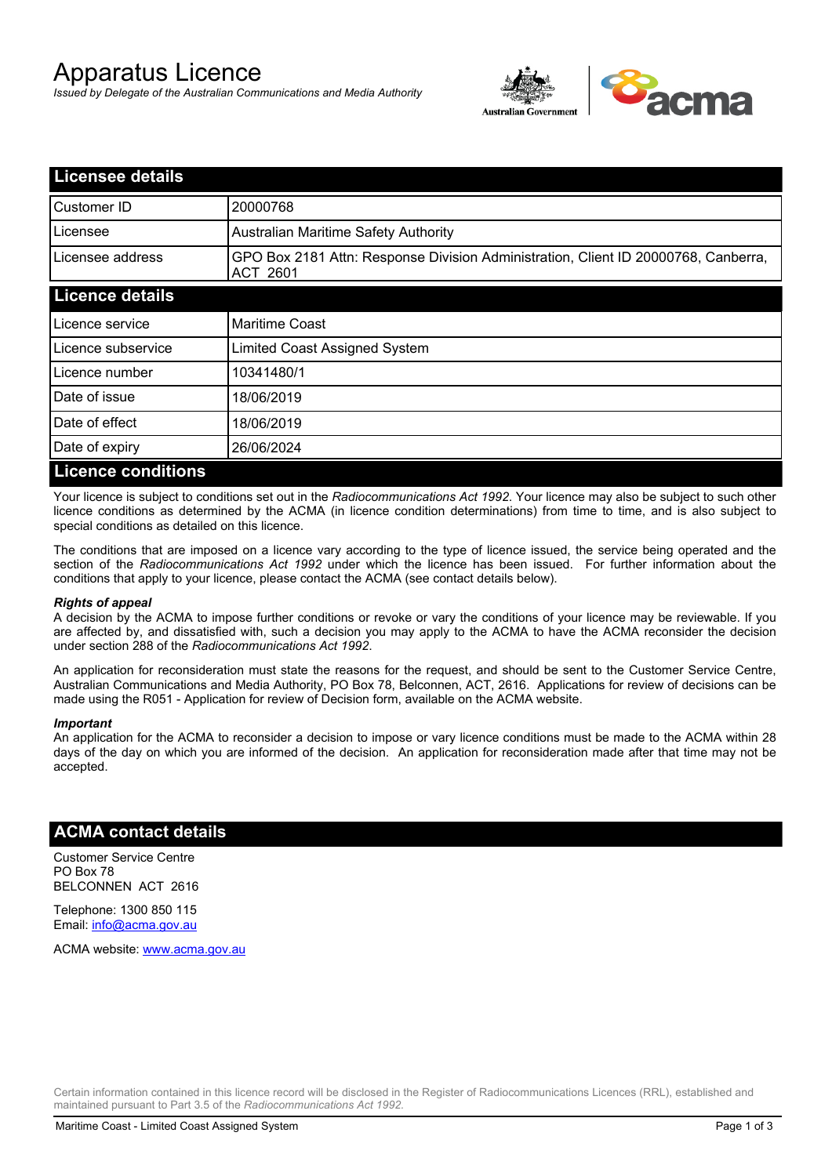# Apparatus Licence

*Issued by Delegate of the Australian Communications and Media Authority*



| <b>Licensee details</b>   |                                                                                                       |  |  |
|---------------------------|-------------------------------------------------------------------------------------------------------|--|--|
| Customer ID               | 20000768                                                                                              |  |  |
| Licensee                  | <b>Australian Maritime Safety Authority</b>                                                           |  |  |
| Licensee address          | GPO Box 2181 Attn: Response Division Administration, Client ID 20000768, Canberra,<br><b>ACT 2601</b> |  |  |
| <b>Licence details</b>    |                                                                                                       |  |  |
| Licence service           | <b>Maritime Coast</b>                                                                                 |  |  |
| Licence subservice        | Limited Coast Assigned System                                                                         |  |  |
| Licence number            | 10341480/1                                                                                            |  |  |
| Date of issue             | 18/06/2019                                                                                            |  |  |
| Date of effect            | 18/06/2019                                                                                            |  |  |
| Date of expiry            | 26/06/2024                                                                                            |  |  |
| <b>Licence conditions</b> |                                                                                                       |  |  |

Your licence is subject to conditions set out in the *Radiocommunications Act 1992*. Your licence may also be subject to such other licence conditions as determined by the ACMA (in licence condition determinations) from time to time, and is also subject to special conditions as detailed on this licence.

The conditions that are imposed on a licence vary according to the type of licence issued, the service being operated and the section of the *Radiocommunications Act 1992* under which the licence has been issued. For further information about the conditions that apply to your licence, please contact the ACMA (see contact details below).

#### *Rights of appeal*

A decision by the ACMA to impose further conditions or revoke or vary the conditions of your licence may be reviewable. If you are affected by, and dissatisfied with, such a decision you may apply to the ACMA to have the ACMA reconsider the decision under section 288 of the *Radiocommunications Act 1992*.

An application for reconsideration must state the reasons for the request, and should be sent to the Customer Service Centre, Australian Communications and Media Authority, PO Box 78, Belconnen, ACT, 2616. Applications for review of decisions can be made using the R051 - Application for review of Decision form, available on the ACMA website.

#### *Important*

An application for the ACMA to reconsider a decision to impose or vary licence conditions must be made to the ACMA within 28 days of the day on which you are informed of the decision. An application for reconsideration made after that time may not be accepted.

### **ACMA contact details**

Customer Service Centre PO Box 78 BELCONNEN ACT 2616

Telephone: 1300 850 115 Email: info@acma.gov.au

ACMA website: www.acma.gov.au

Certain information contained in this licence record will be disclosed in the Register of Radiocommunications Licences (RRL), established and maintained pursuant to Part 3.5 of the *Radiocommunications Act 1992.*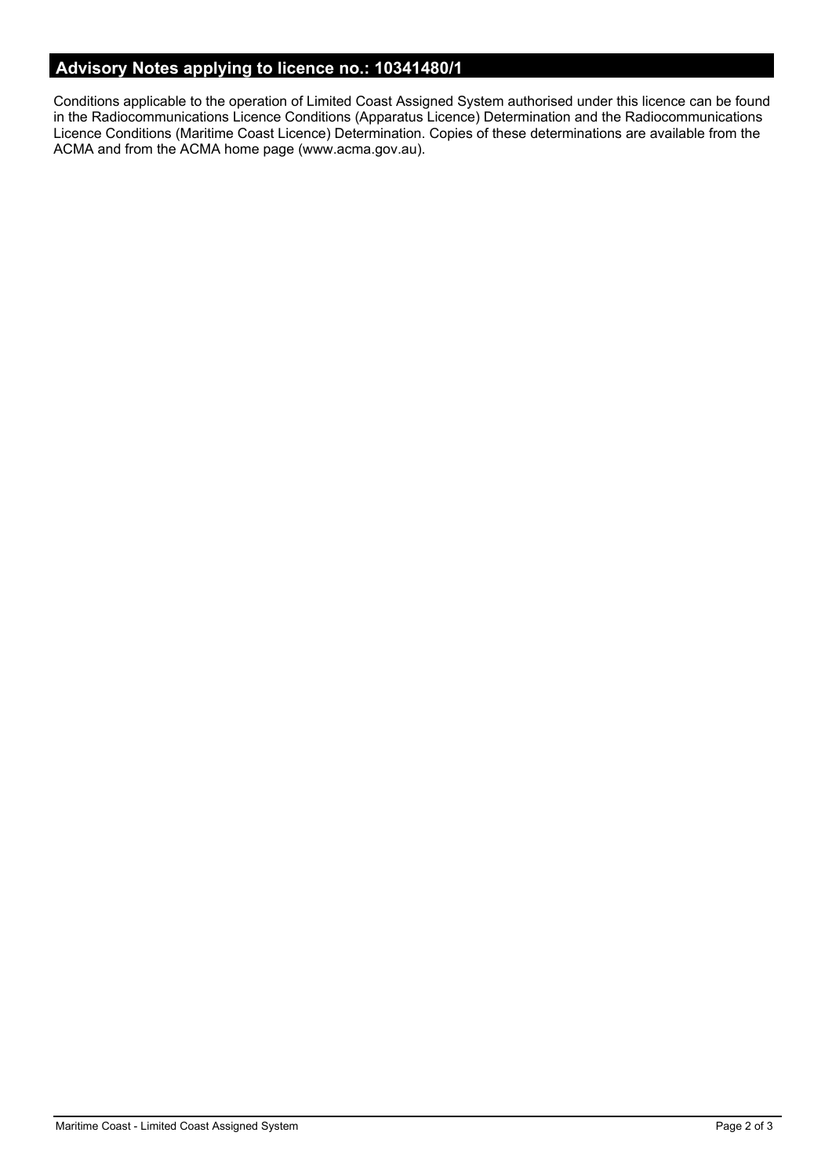# **Advisory Notes applying to licence no.: 10341480/1**

Conditions applicable to the operation of Limited Coast Assigned System authorised under this licence can be found in the Radiocommunications Licence Conditions (Apparatus Licence) Determination and the Radiocommunications Licence Conditions (Maritime Coast Licence) Determination. Copies of these determinations are available from the ACMA and from the ACMA home page (www.acma.gov.au).